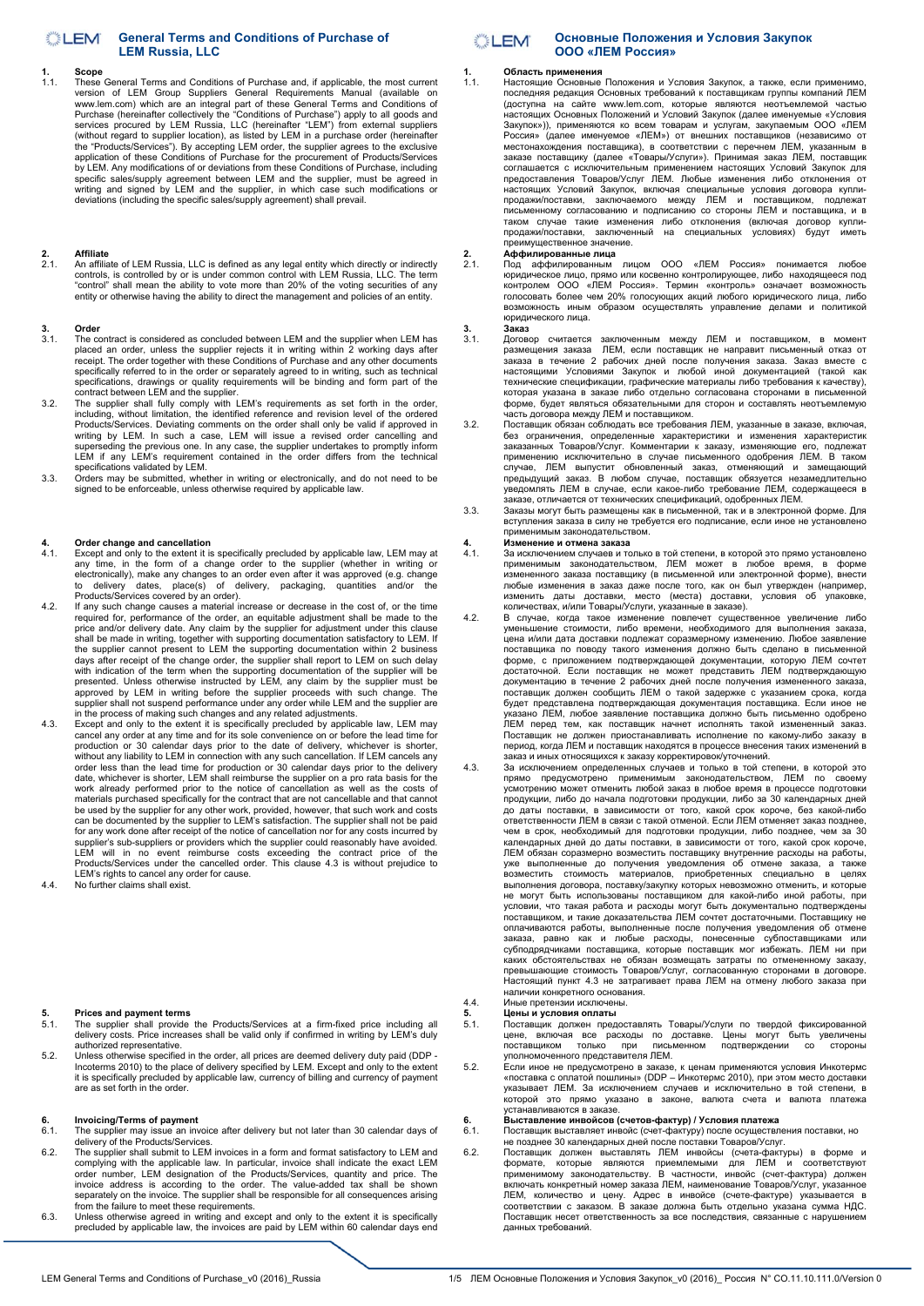## **General Terms and Conditions of Purchase of**  LEM **LEM Russia, LLC**

## **1. Scope**

These General Terms and Conditions of Purchase and, if applicable, the most current version of LEM Group Suppliers General Requirements Manual (available on<br>www.lem.com) which are an integral part of these General Terms and Conditions of<br>Purchase (hereinafter collectively the "Conditions of Purchase") app services procured by LEM Russia, LLC (hereinafter "LEM") from external suppliers (without regard to supplier location), as listed by LEM in a purchase order (hereinafter the "Products/Services"). By accepting LEM order, the supplier agrees to the exclusive application of these Conditions of Purchase for the procurement of Products/Services by LEM. Any modifications of or deviations from these Conditions of Purchase, including<br>specific sales/supply agreement between LEM and the supplier, must be agreed in<br>writing and signed by LEM and the supplier, in which c

# **2. Affiliate**

2.1. An affiliate of LEM Russia, LLC is defined as any legal entity which directly or indirectly controls, is controlled by or is under common control with LEM Russia, LLC. The term "control" shall mean the ability to vote more than 20% of the voting securities of any entity or otherwise having the ability to direct the management and policies of an entity.

## **3.** Order **3.1** The co

- The contract is considered as concluded between LEM and the supplier when LEM has placed an order, unless the supplier rejects it in writing within 2 working days after<br>receipt. The order together with these Conditions of Purchase and any other documents<br>specificalions, drawings or quality requirements
- 3.2. The supplier shall fully comply with LEM's requirements as set forth in the order, including, without limitation, the identified reference and revision level of the ordered Products/Services. Deviating comments on the order shall only be valid if approved in writing by LEM. In such a case, LEM will issue a revised order cancelling and superseding the previous one. In any case, the supplier undertakes to promptly inform LEM if any LEM's requirement contained in the order differs from the technical specifications validated by LEM.
- 3.3. Orders may be submitted, whether in writing or electronically, and do not need to be signed to be enforceable, unless otherwise required by applicable law.

## **4.** Order change and cancellation **4.1**. Except and only to the extent it is

- 4.1. Except and only to the extent it is specifically precluded by applicable law, LEM may at any time, in the form of a change order to the supplier (whether in writing or electronically), make any changes to an order eve to delivery dates, place(s) of delivery, packaging, quantities and/or the Products/Services covered by an order).
- 4.2. If any such change causes a material increase or decrease in the cost of, or the time required for, performance of the order, an equitable adjustment shall be made to the<br>price and/or delivery date. Any claim by the supplier for adjustment under this clause<br>shall be made in writing, together with supporting days after receipt of the change order, the supplier shall report to LEM on such delay<br>with indication of the term when the supporting documentation of the supplier will be<br>presented. Unless otherwise instructed by LEM, an supplier shall not suspend performance under any order while LEM and the supplier are in the process of making such changes and any related adjustments.
- 4.3. Except and only to the extent it is specifically precluded by applicable law, LEM may cancel any order at any time and for its sole convenience on or before the lead time for<br>production or 30 calendar days prior to th without any liability to LEM in connection with any such cancellation. If LEM cancels any order less than the lead time for production or 30 calendar days prior to the delivery date, whichever is shorter, LEM shall reimbur can be documented by the supplier to LEM's satisfaction. The supplier shall not be paid for any work done after receipt of the notice of cancellation nor for any costs incurred by supplier's sub-suppliers or providers which the supplier could reasonably have avoided.<br>LEM will in no event reimburse costs exceeding the contract price of the<br>Products/Services under the cancelled order. This clause 4.3 LEM's rights to cancel any order for cause.
- 4.4. No further claims shall exist.

- **5. Prices and payment terms**  5.1. The supplier shall provide the Products/Services at a firm-fixed price including all delivery costs. Price increases shall be valid only if confirmed in writing by LEM's duly authorized representative.
- 5.2. Unless otherwise specified in the order, all prices are deemed delivery duty paid (DDP -<br>Incoterms 2010) to the place of delivery specified by LEM. Except and only to the extent<br>it is specifically precluded by applica are as set forth in the order.

# **6. Invoicing/Terms of payment**<br>**6.1** The supplier may issue an inv

- motong. The supplier may issue an invoice after delivery but not later than 30 calendar days of delivery of the Products/Services.
- 6.2. The supplier shall submit to LEM invoices in a form and format satisfactory to LEM and complying with the applicable law. In particular, invoice shall indicate the exact LEM order number, LEM designation of the Products/Services, quantity and price. The invoice address is according to the order. The value-added tax shall be shown<br>separately on the invoice. The supplier shall be responsible for
- 6.3. Unless otherwise agreed in writing and except and only to the extent it is specifically precluded by applicable law, the invoices are paid by LEM within 60 calendar days end

## **Основные Положения и Условия Закупок COLLEM ООО «ЛЕМ Россия»**

## **1. Область применения**

Настоящие Основные Положения и Условия Закупок, а также, если приме последняя редакция Основных требований к поставщикам группы компаний ЛЕМ (доступна на сайте www.lem.com, которые являются неотъемлемой частью настоящих Основных Положений и Условий Закупок (далее именуемые «Условия Закупок»)), применяются ко всем товарам и услугам, закупаемым ООО «ЛЕМ Россия» (далее именуемое «ЛЕМ») от внешних поставщиков (независимо от местонахождения поставщика), в соответствии с перечнем ЛЕМ, указанным в заказе поставщику (далее «Товары/Услуги»). Принимая заказ ЛЕМ, поставщик соглашается с исключительным применением настоящих Условий Закупок для предоставления Товаров/Услуг ЛЕМ. Любые изменения либо отклонения от настоящих Условий Закупок, включая специальные условия договора купли-<br>продажи/поставки, заключаемого между ЛЕМ и поставщиком, подлежат<br>письменному согласованию и подписанию со стороны ЛЕМ и поставщика, и в<br>таком случае т продажи/поставки, заключенный на специальных условиях) будут иметь преимущественное значение.

**2. Аффилированные лица** 2.1. Под аффилированным лицом ООО «ЛЕМ Россия» понимается любое юридическое лицо, прямо или косвенно контролирующее, либо находящееся под контролем ООО «ЛЕМ Россия». Термин «контроль» означает возможность голосовать более чем 20% голосующих акций любого юридического лица, либо возможность иным образом осуществлять управление делами и политикой юридического лица.

## **3. Заказ**

- 3.1. Договор считается заключенным между ЛЕМ и поставщиком, в момент размещения заказа ЛЕМ, если поставщик не направит письменный отказ от заказа в течение 2 рабочих дней после получения заказа. Заказ вместе с настоящими Условиями Закупок и любой иной документацией (такой как технические спецификации, графические материалы либо требования к качеству), которая указана в заказе либо отдельно согласована сторонами в письменной форме, будет являться обязательными для сторон и составлять неотъемлемую часть договора между ЛЕМ и поставщиком.
- 3.2. Поставщик обязан соблюдать все требования ЛЕМ, указанные в заказе, включая, без ограничения, определенные характеристики и изменения характеристик заказанных Товаров/Услуг. Комментарии к заказу, изменяющие его, подлежат<br>применению исключительно в случае письменного одобрения ЛЕМ. В таком<br>случае, ЛЕМ выпустит обновленный заказ, отменяющий и замещающий<br>предыдущий зака заказе, отличается от технических спецификаций, одобренных ЛЕМ.
- 3.3. Заказы могут быть размещены как в письменной, так и в электронной форме. Для вступления заказа в силу не требуется его подписание, если иное не установлено применимым законодательством.

# **4. Изменение и отмена заказа**

- 4.1. За исключением случаев и только в той степени, в которой это прямо установлено применимым законодательством, ЛЕМ может в любое время, в форме измененного заказа поставщику (в письменной или электронной форме), внести любые изменения в заказ даже после того, как он был утвержден (например,<br>изменить даты доставки, место (места) доставки, условия об упаковке,
- количествах, и/или Товары/Услуги, указанные в заказе). 4.2. В случае, когда такое изменение повлечет существенное увеличение либо уменьшение стоимости, либо времени, необходимого для выполнения заказа, цена и/или дата доставки подлежат соразмерному изменению. Любое заявление поставщика по поводу такого изменения должно быть сделано в письменной форме, с приложением подтверждающей документации, которую ЛЕМ сочтет достаточной. Если поставщик не может представить ЛЕМ подтверждающую документацию в течение 2 рабочих дней после получения измененного заказа, поставщик должен сообщить ЛЕМ о такой задержке с указанием срока, когда будет представлена подтверждающая документация поставщика. Если иное не указано ЛЕМ, любое заявление поставщика должно быть письменно одобрено ЛЕМ перед тем, как поставщик начнет исполнять такой измененный заказ.<br>Поставщик не должен приостанавливать исполнение по какому-либо заказу в<br>период,когда ЛЕМ и поставщик находятся в процессе внесения таких изменений в заказ и иных относящихся к заказу корректировок/уточнений.
- 4.3. За исключением определенных случаев и только в той степени, в которой это прямо предусмотрено применимым законодательством, ЛЕМ по своему усмотрению может отменить любой заказ в любое время в процессе подготовки продукции, либо до начала подготовки продукции, либо за 30 календарных дней до даты поставки, в зависимости от того, какой срок короче, без какой-либо ответственности ЛЕМ в связи с такой отменой. Если ЛЕМ отменяет заказ позднее, чем в срок, необходимый для подготовки продукции, либо позднее, чем за 30 календарных дней до даты поставки, в зависимости от того, какой срок короче, ЛЕМ обязан соразмерно возместить поставщику внутренние расходы на работы, уже выполненные до получения уведомления об отмене заказа, а также возместить стоимость материалов, приобретенных специально в целях выполнения договора, поставку/закупку которых невозможно отменить, и которые<br>не могут быть использованы поставщиком для какой-либо иной работы, при<br>условии, что такая работа и расходы могут быть документально подтверждены каких обстоятельствах не обязан возмещать затраты по отмененному заказу, превышающие стоимость Товаров/Услуг, согласованную сторонами в договоре. Настоящий пункт 4.3 не затрагивает права ЛЕМ на отмену любого заказа при наличии конкретного основания.

## 4.4. Иные претензии исключены.

- **5. Цены и условия оплаты** 5.1. Поставщик должен предоставлять Товары/Услуги по твердой фиксированной цене, включая все расходы по доставке. Цены могут быть увеличены поставщиком только при письменном подтверждении со стороны
- уполномоченного представителя ЛЕМ. 5.2. Если иное не предусмотрено в заказе, к ценам применяются условия Инкотермс «поставка с оплатой пошлины» (DDP Инкотермс 2010), при этом место доставки указывает ЛЕМ. За исключением случаев и исключительно в той степени, в которой это прямо указано в законе, валюта счета и валюта платежа<br>устанавливаются в заказе.<br>6. Выставление инвойсов (счетов-фактур) / Условия платежа<br>6.1. Поставщик выставляет инвойс (счет-фактуру) после осуществления пос

- 
- 6.2. Поставщик должен выставлять ЛЕМ инвойсы (счета-фактуры) в форме и<br>формате, которые являются приемлемыми для ЛЕМ и соответствуют<br>применимому законодательству. В частности, инвойс (счет-фактура) должен<br>включатьконкретн ЛЕМ, количество и цену. Адрес в инвойсе (счете-фактуре) указывается в соответствии с заказом. В заказе должна быть отдельно указана сумма НДС. Поставщик несет ответственность за все последствия, связанные с нарушением данных требований.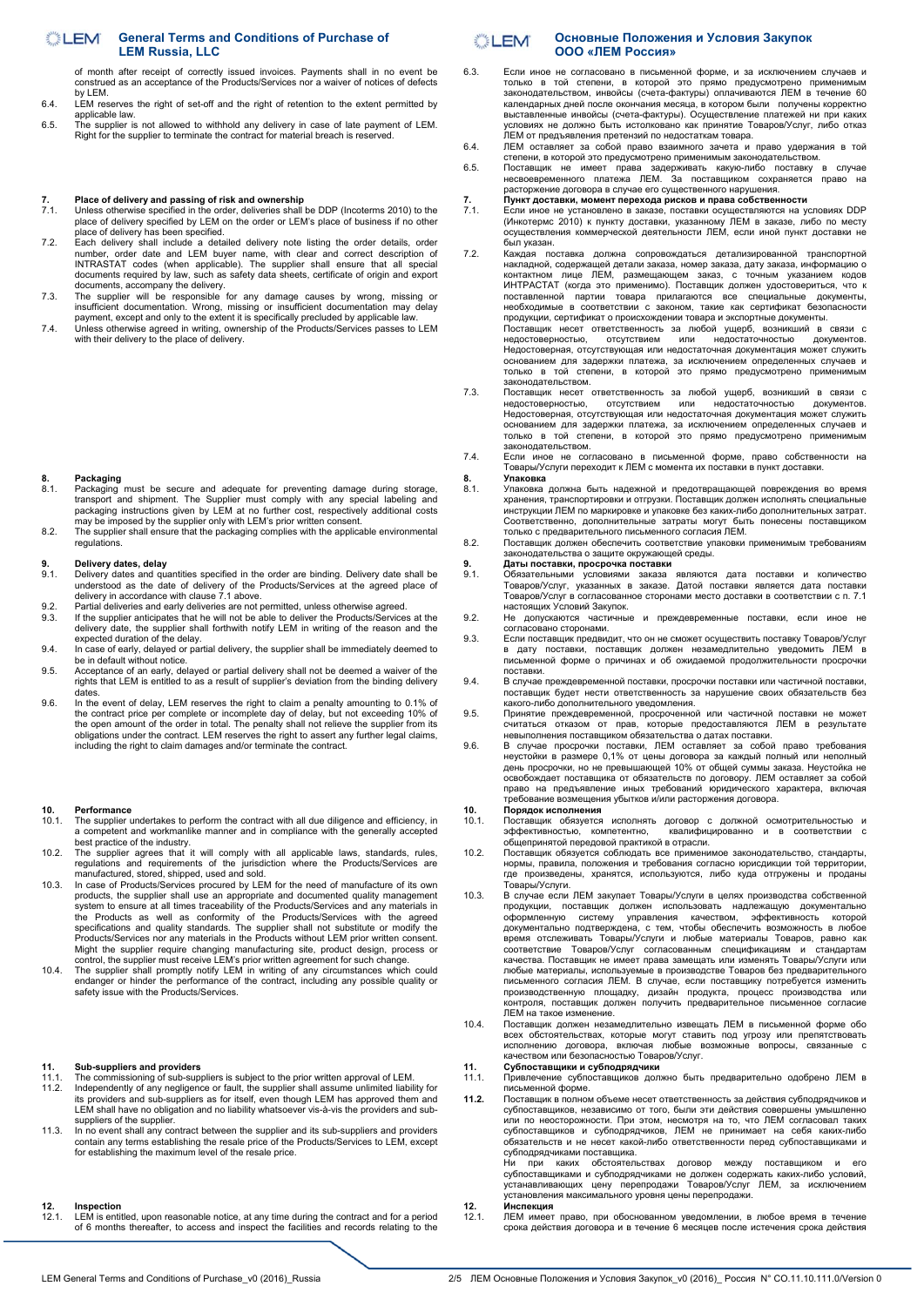## **General Terms and Conditions of Purchase of**  LEM **LEM Russia, LLC**

of month after receipt of correctly issued invoices. Payments shall in no event be construed as an acceptance of the Products/Services nor a waiver of notices of defects by LEM.

- 6.4. LEM reserves the right of set-off and the right of retention to the extent permitted by applicable law.
- 6.5. The supplier is not allowed to withhold any delivery in case of late payment of LEM. Right for the supplier to terminate the contract for material breach is reserved.

- **7. Place of delivery and passing of risk and ownership**  7.1. Unless otherwise specified in the order, deliveries shall be DDP (Incoterms 2010) to the place of delivery specified by LEM on the order or LEM's place of business if no other
- place of delivery has been specified.<br>T.2. Each delivery shall include a detailed delivery note listing the order details, order<br>number, order date and LEM buyer name, with clear and correct description of<br>INTRASTAT codes
- documents, accompany the delivery. 7.3. The supplier will be responsible for any damage causes by wrong, missing or
- insufficient documentation. Wrong, missing or insufficient documentation may delay<br>payment, except and only to the extent it is specifically precluded by applicable law.<br>7.4. Unless otherwise agreed in writing, ownership o

## **8. Packaging**

- Packaging<br>Backaging must be secure and adequate for preventing damage during storage transport and shipment. The Supplier must comply with any special labeling and<br>packaging instructions given by LEM at no further cost, respectively additional costs<br>may be imposed by the supplier only with LEM's prior writ
- 8.2. The supplier shall ensure that the packaging complies with the applicable environmental regulations.

- 9. Delivery dates, delay<br>9.1. Delivery dates and quantities specified in the order are binding. Delivery date shall be<br>understood as the date of delivery of the Products/Services at the agreed place of<br>delivery in accordan
- 
- 9.2. Partial deliveries and early deliveries are not permitted, unless otherwise agreed.<br>9.3. If the supplier anticipates that he will not be able to deliver the Products/Services at the<br>delivery date, the supplier shall f expected duration of the delay.
- 9.4. In case of early, delayed or partial delivery, the supplier shall be immediately deemed to be in default without notice. 9.5. Acceptance of an early, delayed or partial delivery shall not be deemed a waiver of the
- rights that LEM is entitled to as a result of supplier's deviation from the binding delivery
- dates. 9.6. In the event of delay, LEM reserves the right to claim a penalty amounting to 0.1% of the contract price per complete or incomplete day of delay, but not exceeding 10% of the open amount of the order in total. The penalty shall not relieve the supplier from its obligations under the contract. LEM reserves the right to assert any further legal claims, including the right to claim damages and/or terminate the contract.

# **10.** Performance<br>10.1. The supplier

- 10.1. The supplier undertakes to perform the contract with all due diligence and efficiency, in a competent and workmanlike manner and in compliance with the generally accepted best practice of the industry.
- 10.2. The supplier agrees that it will comply with all applicable laws, standards, rules, regulations and requirements of the jurisdiction where the Products/Services are manufactured, stored, shipped, used and sold.
- 10.3. In case of Products/Services procured by LEM for the need of manufacture of its own<br>products, the supplier shall use an appropriate and documented quality management<br>system to ensure at all times traceability of the the Products as well as conformity of the Products/Services with the agreed<br>specifications and quality standards. The supplier shall not substitute or modify the<br>Products/Services nor any materials in the Products without
- endanger or hinder the performance of the contract, including any possible quality or safety issue with the Products/Services.

## **11. Sub-suppliers and providers**

- The commissioning of sub-suppliers is subject to the prior written approval of LEM.
- 11.2. Independently of any negligence or fault, the supplier shall assume unlimited liability for its providers and sub-suppliers as for itself, even though LEM has approved them and LEM shall have no obligation and no liability whatsoever vis-à-vis the providers and subsuppliers of the supplier.
- 11.3. In no event shall any contract between the supplier and its sub-suppliers and providers contain any terms establishing the resale price of the Products/Services to LEM, except for establishing the maximum level of the resale price.

## **12. Inspection**

LEM is entitled, upon reasonable notice, at any time during the contract and for a period of 6 months thereafter, to access and inspect the facilities and records relating to the

## **Основные Положения и Условия Закупок COLLEM ООО «ЛЕМ Россия»**

- 6.3. Если иное не согласовано в письменной форме, и за исключением случаев и только в той степени, в которой это прямо предусмотрено применимым законодательством, инвойсы (счета-фактуры) оплачиваются ЛЕМ в течение 60<br>календарных дней после окончания месяца, в котором были получены корректно<br>выставленные инвойсы (счета-фактуры). Осуществление платежей ни при каких условиях не должно быть истолковано как принятие Товаров/Услуг, либо отказ ЛЕМ от предъявления претензий по недостаткам товара.
- 6.4. ЛЕМ оставляет за собой право взаимного зачета и право удержания в той степени, в которой это предусмотрено применимым законодательством.
- 6.5. Поставщик не имеет права задерживать какую-либо поставку в случае несвоевременного платежа ЛЕМ. За поставщиком сохраняется право на расторжение договора в случае его существенного нарушения. **7. Пункт доставки, момент перехода рисков и права собственности**
- 7.1. Если иное не установлено в заказе, поставки осуществляются на условиях DDP (Инкотермс 2010) к пункту доставки, указанному ЛЕМ в заказе, либо по месту осуществления коммерческой деятельности ЛЕМ, если иной пункт доставки не был указан.
- 7.2. Каждая поставка должна сопровождаться детализированной транспортной накладной, содержащей детали заказа, номер заказа, дату заказа, информацию о контактном лице ЛЕМ, размещающем заказ, с точным указанием кодов ИНТРАСТАТ (когда это применимо). Поставщик должен удостовериться, что к<br>поставленной партии товара прилагаются все специальные документы,<br>необходимые в соответствии с законом, такие как сертификат безопасности<br>проду Поставщик несет ответственность за любой ущерб, возникший в связи с недостоверностью, отсутствием или недостаточностью документов.<br>Недостоверная,отсутствующая или недостаточная документация может служить<br>основанием для задержки платежа, за исключением определенных служелв<br>только в той сте законодательством.
- 7.3. Поставщик несет ответственность за любой ущерб, возникший в связи с недостоверностью, отсутствием или недостаточностью документов. Недостоверная, отсутствующая или недостаточная документация может служить основанием для задержки платежа, за исключением определенных случаев и только в той степени, в которой это прямо предусмотрено применимым законодательством.
- 7.4. Если иное не согласовано в письменной форме, право собственности на Товары/Услуги переходит к ЛЕМ с момента их поставки в пункт доставки.

## **8. Упаковка**

- 8.1. Упаковка должна быть надежной и предотвращающей повреждения во время хранения, транспортировки и отгрузки. Поставщик должен исполнять специальные инструкции ЛЕМ по маркировке и упаковке без каких-либо дополнительных затрат.<br>Соответственно, дополнительные затраты могут быть понесены поставщиком<br>только с предварительного письменного согласия ЛЕМ.
- 8.2. Поставщик должен обеспечить соответствие упаковки применимым требованиям законодательства о защите окружающей среды.

- **9. Даты поставки, просрочка поставки**<br>9.1. Обязательными условиями заказа являются дата поставки и количество<br>Товаров/Услуг, указанных в заказе. Датой поставки является дата поставки<br>Товаров/Услуг в согласованное сторон настоящих Условий Закупок.
- 9.2. Не допускаются частичные и преждевременные поставки, если иное не согласовано сторонами.
- 9.3. Если поставщик предвидит, что он не сможет осуществить поставку Товаров/Услуг в дату поставки, поставщик должен незамедлительно уведомить ЛЕМ в письменной форме о причинах и об ожидаемой продолжительности просрочки поставки.
- 9.4. В случае преждевременной поставки, просрочки поставки или частичной поставки, поставщик будет нести ответственность за нарушение своих обязательств без какого-либо дополнительного уведомления.
- 9.5. Принятие преждевременной, просроченной или частичной поставки не может считаться отказом от прав, которые предоставляются ЛЕМ в результате невыполнения поставщиком обязательства о датах поставки. 9.6. В случае просрочки поставки, ЛЕМ оставляет за собой право требования
- неустойки в размере 0,1% от цены договора за каждый полный или неполный день просрочки, но не превышающей 10% от общей суммы заказа. Неустойка не освобождает поставщика от обязательств по договору. ЛЕМ оставляет за собой право на предъявление иных требований юридического характера, включая требование возмещения убытков и/или расторжения договора.

# **10. Порядок исполнения**

- 10.1. Поставщик обязуется исполнять договор с должной осмотрительностью и эффективностью, компетентно, квалифицированно и в соответствии с поставщик обязустся исполнять договор с<br>эффективностью, компетентно, квалифиц<br>общепринятой передовой практикой в отрасли.
- 10.2. Поставщик обязуется соблюдать все применимое законодательство, стандарты, нормы, правила, положения и требования согласно юрисдикции той территории, где произведены, хранятся, используются, либо куда отгружены и проданы Товары/Услуги.
- 10.3. В случае если ЛЕМ закупает Товары/Услуги в целях производства собственной продукции, поставщик должен использовать надлежащую документально оформленную систему управления качеством, эффективность которой документально подтверждена, с тем, чтобы обеспечить возможность в любое время отслеживать Товары/Услуги и любые материалы Товаров, равно как<br>соответствие Товаров/Услуг согласованным спецификациям и стандары/<br>качества.Поставщикне имеет права замещать или изменять Товары/Услуги или любые материалы, используемые в производстве Товаров без предварительного письменного согласия ЛЕМ. В случае, если поставщику потребуется изменить производственную площадку, дизайн продукта, процесс производства или контроля, поставщик должен получить предварительное письменное согласие ЛЕМ на такое изменение.
- 10.4. Поставщик должен незамедлительно извещать ЛЕМ в письменной форме обо всех обстоятельствах, которые могут ставить под угрозу или препятствовать исполнению договора, включая любые возможные вопросы, связанные с качеством или безопасностью Товаров/Услуг.

## **11. Субпоставщики и субподрядчики**

- 11.1. Привлечение субпоставщиков должно быть предварительно одобрено ЛЕМ в письменной форме.
- **11.2.** Поставщик в полном объеме несет ответственность за действия субподрядчиков и субпоставщиков, независимо от того, были эти действия совершены умышленно<br>или по неосторожности. При этом, несмотря на то, что ЛЕМ согласовал таких<br>субпоставщиков и субподрядчиков, ЛЕМ не принимает на себя каких-либо обязательств и не несет какой-либо ответственности перед субпоставщиками и субподрядчиками поставщика. Ни при каких обстоятельствах договор между поставщиком и его

субпоставщиками и субподрядчиками не должен содержать каких-либо условий, устанавливающих цену перепродажи Товаров/Услуг ЛЕМ, за исключением установления максимального уровня цены перепродажи. **12. Инспекция**

- 
- 12.1. ЛЕМ имеет право, при обоснованном уведомлении, в любое время в течение срока действия договора и в течение 6 месяцев после истечения срока действия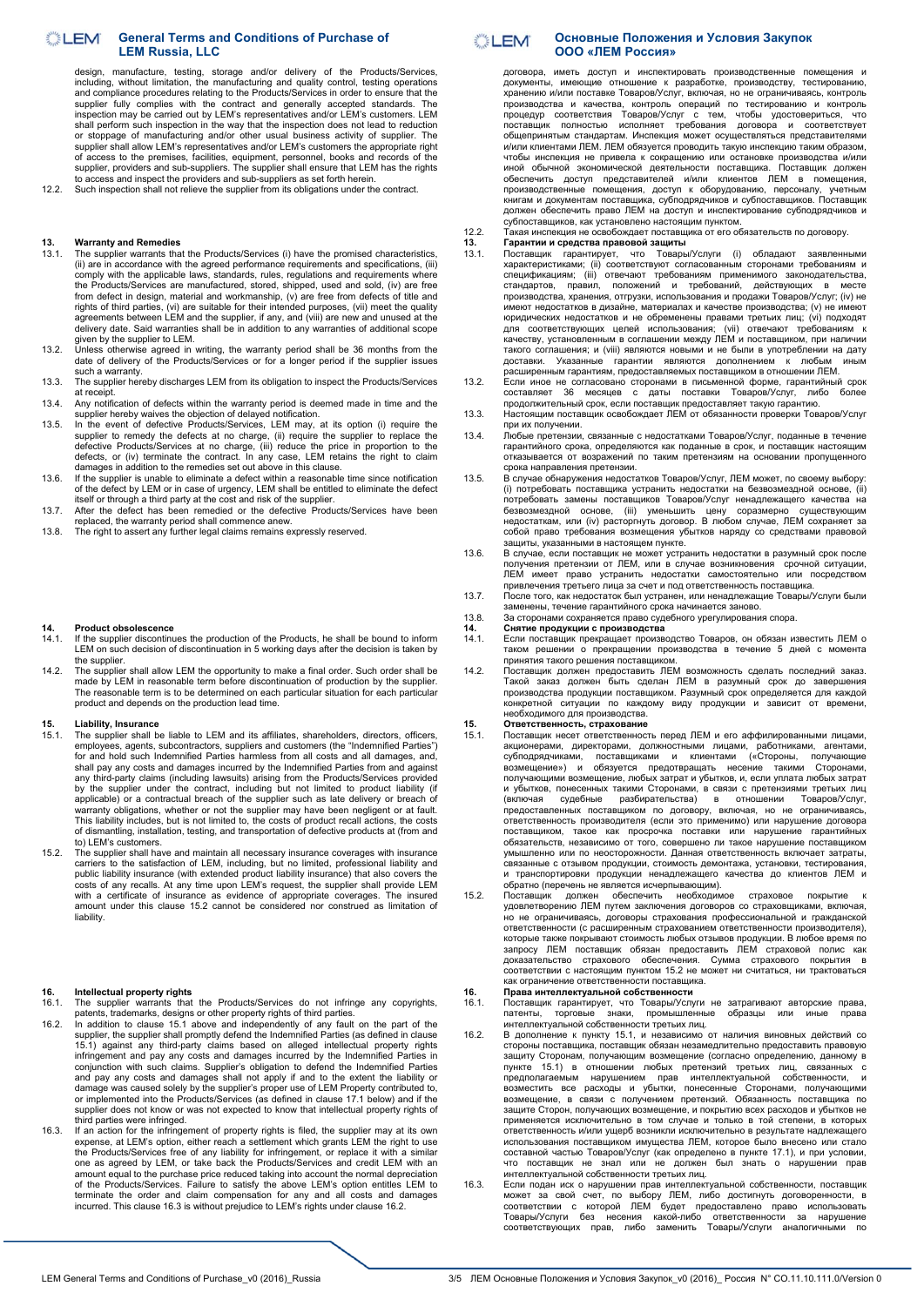## **General Terms and Conditions of Purchase of**  LEM **LEM Russia, LLC**

design, manufacture, testing, storage and/or delivery of the Products/Services, including, without limitation, the manufacturing and quality control, testing operations and compliance procedures relating to the Products/Services in order to ensure that the<br>supplier fully complies with the contract and generally accepted standards. The<br>inspection may be carried out by LEM's representatives shall perform such inspection in the way that the inspection does not lead to reduction or stoppage of manufacturing and/or other usual business activity of supplier. The supplier shall allow LEM's representatives and/or LEM's customers the appropriate right<br>of access to the premises, facilities, equipment, personnel, books and records of the<br>supplier, providers and sub-suppliers. The suppl

12.2. Such inspection shall not relieve the supplier from its obligations under the contract.

## **13. Warranty and Remedies**

- 13.1. The supplier warrants that the Products/Services (i) have the promised characteristics, (ii) are in accordance with the agreed performance requirements and specifications, (iii) comply with the applicable laws, standards, rules, regulations and requirements where the Products/Services are manufactured, stored, shipped, used and sold, (iv) are free from defect in design, material and workmanship, (v) are free from defects of title and rights of third parties, (vi) are suitable for their intended purposes, (vii) meet the quality agreements between LEM and the supplier, if any, and (viii) are new and unused at the delivery date. Said warranties shall be in addition to any warranties of additional scope
- given by the supplier to LEM.<br>13.2. Unless otherwise agreed in writing, the warranty period shall be 36 months from the<br>date of delivery of the Products/Services or for a longer period if the supplier issues such a warranty.
- 13.3. The supplier hereby discharges LEM from its obligation to inspect the Products/Services at receipt.
- 13.4. Any notification of defects within the warranty period is deemed made in time and the supplier hereby waives the objection of delayed notification.
- 13.5. In the event of defective Products/Services, LEM may, at its option (i) require the supplier to remedy the defects at no charge, (ii) require the supplier to replace the defective Products/Services at no charge, (iii) reduce the price in proportion to the<br>defects, or (iv) terminate the contract. In any case, LEM retains the right to claim<br>damages in addition to the remedies set out above i
- 13.6. If the supplier is unable to eliminate a defect within a reasonable time since notification of the defect by LEM or in case of urgency, LEM shall be entitled to eliminate the defect
- itself or through a third party at the cost and risk of the supplier. 13.7. After the defect has been remedied or the defective Products/Services have been
- replaced, the warranty period shall commence anew. 13.8. The right to assert any further legal claims remains expressly reserved.

## **14. Product obsolescence**

- 14.1. If the supplier discontinues the production of the Products, he shall be bound to inform LEM on such decision of discontinuation in 5 working days after the decision is taken by the supplier.
- 14.2. The supplier shall allow LEM the opportunity to make a final order. Such order shall be made by LEM in reasonable term before discontinuation of production by the supplier. The reasonable term is to be determined on each particular situation for each particular product and depends on the production lead time.

## **15. Liability, Insurance**

- The supplier shall be liable to LEM and its affiliates, shareholders, directors, officers employees, agents, subcontractors, suppliers and customers (the "Indemnified Parties") for and hold such Indemnified Parties harmless from all costs and all damages, and, and hold such Indemnified Parties harmless from all costs and all damages, and shall pay any costs and damages incurred by the Indemnified Parties from and against<br>any third-party claims (including lawsuits) arising from the Products/Services provided<br>by the supplier under the contract, including but This liability includes, but is not limited to, the costs of product recall actions, the costs of dismantling, installation, testing, and transportation of defective products at (from and to) LEM's customers.
- 15.2. The supplier shall have and maintain all necessary insurance coverages with insurance carriers to the satisfaction of LEM, including, but no limited, professional liability and public liability insurance (with extend liability.

## **16. Intellectual property rights**

- 16.1. The supplier warrants that the Products/Services do not infringe any copyrights, patents, trademarks, designs or other property rights of third parties. 16.2. In addition to clause 15.1 above and independently of any fault on the part of the
- supplier, the supplier shall promptly defend the Indemnified Parties (as defined in clause 15.1) against any third-party claims based on alleged intellectual property rights infringement and pay any costs and damages incurred by the Indemnified Parties in<br>conjunction with such claims. Supplier's obligation to defend the Indemnified Parties in<br>and pay any costs and damages shall not apply if an third parties were infringed.
- 16.3. If an action for the infringement of property rights is filed, the supplier may at its own expense, at LEM's option, either reach a settlement which grants LEM the right to use<br>the Products/Services free of any liability for infringement, or replace it with a similar<br>one as agreed by LEM, or take back the Produc amount equal to the purchase price reduced taking into account the normal depreciation of the Products/Services. Failure to satisfy the above LEM's option entitles LEM to terminate the order and claim compensation for any and all costs and damages incurred. This clause 16.3 is without prejudice to LEM's rights under clause 16.2.

## **Основные Положения и Условия Закупок COLLEM ООО «ЛЕМ Россия»**

договора, иметь доступ и инспектировать производственные помещения и документы, имеющие отношение к разработке, производству, тестированию, хранению и/или поставке Товаров/Услуг, включая, но не ограничиваясь, контроль<br>производства и качества, контроль операций по тестированию и контроль<br>процедур соответствия Товаров/Услуг с тем, чтобы удостовериться, что<br>пост и/или клиентами ЛЕМ. ЛЕМ обязуется проводить такую инспекцию таким образом,<br>чтобы июснекция не привела к сокращению или остановке производства и/или<br>иной обычной экономической деятельности поставщика. Поставщик должен<br>обе производственные помещения, доступ к оборудованию, персоналу, учетным<br>книгам и документам поставщика, субподрядчиков и субпоставщиков. Поставщик<br>должен обеспечить право ЛЕМ на доступ и инспектирование субподрядчиков и<br>суб

12.2. Такая инспекция не освобождает поставщика от его обязательств по договору.

- 13. Парантии и средства правовой защиты<br>13.1. Поставщик гарантирует, что Товары/Услуги (i) обладают заявленными<br>характеристиками; (ii) соответствуют согласованным сторонами требованиям и<br>спецификациям; (iii) отвечают треб стандартов, правил, положений и требований, действующих в месте производства, хранения, отгрузки, использования и продажи Товаров/Услуг; (iv) не имеют недостатков в дизайне, материалах и качестве производства; (v) не имеют<br>юридических недостатков и не обременены правами третьих лиц; (vi) подходят<br>для соответствующих целей использования; (vii) отвечают требованиям качеству, установленным в соглашении между ЛЕМ и поставщиком, при наличии такого соглашения; и (viii) являются новыми и не были в употреблении на дату<br>доставки. Указанные гарантии являются дополнением к любым иным<br>расширенным гарантиям, предоставляемых поставщиком в отношении ЛЕМ.
- 13.2. Если иное не согласовано сторонами в письменной форме, гарантийный срок составляет 36 месяцев с даты поставки Товаров/Услуг, либо более продолжительный срок, если поставщик предоставляет такую гарантию. 13.3. Настоящим поставщик освобождает ЛЕМ от обязанности проверки Товаров/Услуг
- при их получении.
- 13.4. Любые претензии, связанные с недостатками Товаров/Услуг, поданные в течение гарантийного срока, определяются как поданные в срок, и поставщик настоящим отказывается от возражений по таким претензиям на основании пропущенного
- срока направления претензии. 13.5. В случае обнаружения недостатков Товаров/Услуг, ЛЕМ может, по своему выбору: (i) потребовать поставщика устранить недостатки на безвозмездной основе, (ii) потребовать замены поставщиков Товаров/Услуг ненадлежащего качества на<br>безвозмездной основе, (iii) уменьшить цену соразмерно существующим<br>недостаткам, или (iv) расторгнуть договор. В любом случае, ЛЕМ сохраняет за<br>собой п защиты, указанными в настоящем пункте.
- 13.6. В случае, если поставщик не может устранить недостатки в разумный срок после получения претензии от ЛЕМ, или в случае возникновения срочной ситуации, ЛЕМ имеет право устранить недостатки самостоятельно или посредством привлечения третьего лица за счет и под ответственность поставщика.
- 13.7. После того, как недостаток был устранен, или ненадлежащие Товары/Услуги были
- заменены, течение гарантийного срока начинается заново. 13.8. За сторонами сохраняется право судебного урегулирования спора.
- **14. Снятие продукции с производства**
- 14.1. Если поставщик прекращает производство Товаров, он обязан известить ЛЕМ о таком решении о прекращении производства в течение 5 дней с момента принятия такого решения поставщиком.
- принятия такого решения поставщиком.<br>14.2. Поставщик должен предоставить ЛЕМ возможность сделать последний заказ. Такой заказ должен быть сделан ЛЕМ в разумный срок до завершения производства продукции поставщиком. Разумный срок определяется для каждой конкретной ситуации по каждому виду продукции и зависит от времени, необходимого для производства.

- **15. Ответственность, страхование** 15.1. Поставщик несет ответственность перед ЛЕМ и его аффилированными лицами, акционерами, директорами, должностными лицами, работниками, агентами, субподрядчиками, поставщиками и клиентами («Стороны, получающие возмещение») и обязуется предотвращать несение такими Сторонами,<br>получающими возмещение, любых затрат и убытков, и, если уплата любых затрат<br>и убытков, понесенных такими Сторонами, в связи с претензиями третьих лиц<br>(включ ответственность производителя (если это применимо) или нарушение договора<br>поставщиком, такое как просрочка поставки или нарушение гарантийных<br>обязательств, независимо от того, совершено ли такое нарушение поставщиком<br>умыш связанные с отзывом продукции, стоимость демонтажа, установки, тестирования, и транспортировки продукции ненадлежащего качества до клиентов ЛЕМ и
- обратно (перечень не является исчерпывающим). 15.2. Поставщик должен обеспечить необходимое страховое покрытие к удовлетворению ЛЕМ путем заключения договоров со страховщиками, включая, но не ограничиваясь, договоры страхования профессиональной и гражданской ответственности (с расширенным страхованием ответственности производителя), которые также покрывают стоимость любых отзывов продукции. В любое время по запросу ЛЕМ поставщик обязан предоставить ЛЕМ страховой полис как доказательство страхового обеспечения. Сумма страхового покрытия в соответствии с настоящим пунктом 15.2 не может ни считаться, ни трактоваться как ограничение ответственности поставщика.

# **16. Права интеллектуальной собственности**

16.1. Поставщик гарантирует, что Товары/Услуги не затрагивают авторские права,<br>патенты, торговые знаки, промышленные образцы или иные права<br>интеллектγальнойсобственноститретыихлиц.

- 16.2. В дополнение к пункту 15.1, и независимо от наличия виновных действий со стороны поставщика, поставщик обязан незамедлительно предоставить правовую защиту Сторонам, получающим возмещение (согласно определению, данному в<br>пункте 15.1) в отношении любых претензий третьих лиц, связанных с<br>предполагаемым нарушением прав интеллектуальной собственности, и<br>возместить все рас применяется исключительно в том случае и только в той степени, в которых ответственность и/или ущерб возникли исключительно в результате надлежащего использования поставщиком имущества ЛЕМ, которое было внесено или стало составной частью Товаров/Услуг (как определено в пункте 17.1), и при условии, что поставщик не знал или не должен был знать о нарушении прав интеллектуальной собственности третьих лиц.
- 16.3. Если подан иск о нарушении прав интеллектуальной собственности, поставщик может за свой счет, по выбору ЛЕМ, либо достигнуть договоренности, в<br>соответствии с которой ЛЕМ будет предоставлено право использовать<br>Товары/Услуги без несения какой-либо ответственности за нарушение<br>соответствующих пра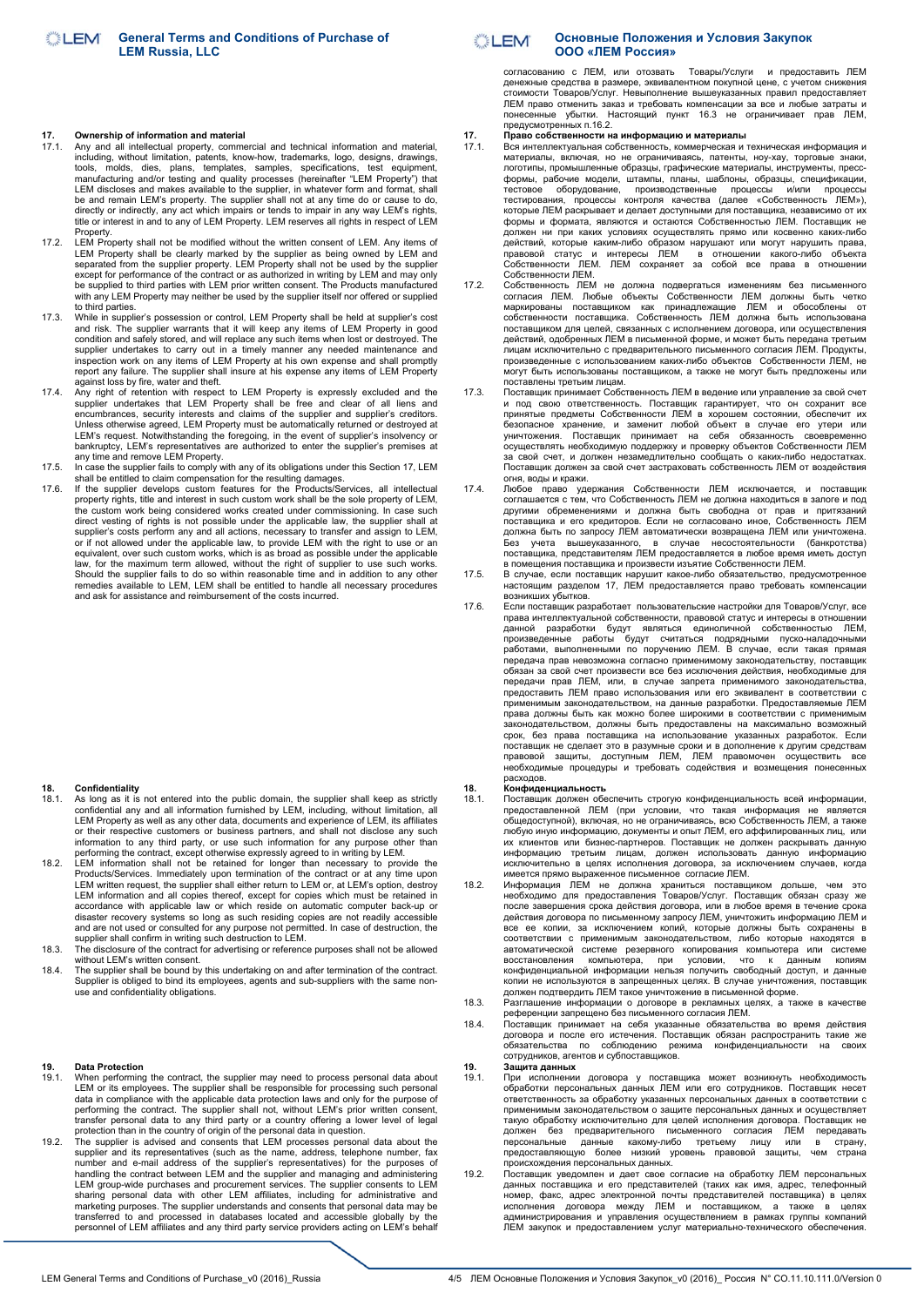## **17. Ownership of information and material**

- 17.1. Any and all intellectual property, commercial and technical information and material, including, without limitation, patents, know-how, trademarks, logo, designs, drawings, tools, molds, dies, plans, templates, samples, specifications, test equipment, manufacturing and/or testing and quality processes (hereinafter "LEM Property") that LEM discloses and makes available to the supplier, in what title or interest in and to any of LEM Property. LEM reserves all rights in respect of LEM Property.
- 17.2. LEM Property shall not be modified without the written consent of LEM. Any items of LEM Property shall be clearly marked by the supplier as being owned by LEM and<br>separated from the supplier property. LEM Property shall not be used by the supplier<br>except for performance of the contract or as authorized in be supplied to third parties with LEM prior written consent. The Products manufactured with any LEM Property may neither be used by the supplier itself nor offered or supplied
- to third parties. 17.3. While in supplier's possession or control, LEM Property shall be held at supplier's cost and risk. The supplier warrants that it will keep any items of LEM Property in good condition and safely stored, and will replace any such items when lost or destroyed. The supplier undertakes to carry out in a timely manner any needed maintenance and<br>inspection work on any items of LEM Property at his own expense and shall promptly<br>report any failure. The supplier shall insure at his expense against loss by fire, water and theft.
- 17.4. Any right of retention with respect to LEM Property is expressly excluded and the supplier undertakes that LEM Property shall be free and clear of all liens and<br>encumbrances, security interests and claims of the supp Unless otherwise agreed, LEM Property must be automatically returned or destroyed at LEM's request. Notwithstanding the foregoing, in the event of supplier's insolvency or
- bankruptcy, LEM's representatives are authorized to enter the supplier's premises at<br>any time and remove LEM Property.<br>17.5. In case the supplier fails to comply with any of its obligations under this Section 17, LEM<br>shall
- property rights, title and interest in such custom work shall be the sole property of LEM, the custom work being considered works created under commissioning. In case such<br>direct vesting of rights is not possible under the applicable law, the supplier shall at<br>supplier's costs perform any and all actions, necess law, for the maximum term allowed, without the right of supplier to use such works.<br>Should the supplier fails to do so within reasonable time and in addition to any other<br>remedies available to LEM, LEM shall be entitled to and ask for assistance and reimbursement of the costs incurred.

## **18. Confidentiality**<br>18.1 **As long as it is**

- As long as it is not entered into the public domain, the supplier shall keep as strictly confidential any and all information furnished by LEM, including, without limitation, all LEM Property as well as any other data, documents and experience of LEM, its affiliates<br>or their respective customers or business partners, and shall not disclose any such<br>information to any third party, or use such inform
- Products/Services. Immediately upon termination of the contract or at any time upon LEM written request, the supplier shall either return to LEM or, at LEM's option, destroy LEM information and all copies thereof, except for copies which must be retained in accordance with applicable law or which reside on automatic computer back-up or disaster recovery systems so long as such residing copies are not readily accessible<br>and are not used or consulted for any purpose not permitted. In case of destruction, the<br>supplier shall confirm in writing such destructi
- without LEM's written consent.
- 18.4. The supplier shall be bound by this undertaking on and after termination of the contract. Supplier is obliged to bind its employees, agents and sub-suppliers with the same non-use and confidentiality obligations.

## **19. Data Protection**

- 19.1. When performing the contract, the supplier may need to process personal data about LEM or its employees. The supplier shall be responsible for processing such personal data in compliance with the applicable data protection laws and only for the purpose of<br>performing the contract. The supplier shall not, without LEM's prior written consent,<br>transfer personal data to any third party or a c
- 19.2. The supplier is advised and consents that LEM processes personal data about the supplier and its representatives (such as the name, address, telephone number, fax number and e-mail address of the supplier's represent handling the contract between LEM and the supplier and managing and administering LEM group-wide purchases and procurement services. The supplier consents to LEM sharing personal data with other LEM affiliates, including for administrative and marketing purposes. The supplier understands and consents that personal data may be transferred to and processed in databases located and accessible globally by the personnel of LEM affiliates and any third party service providers acting on LEM's behalf

## **Основные Положения и Условия Закупок COLLEM ООО «ЛЕМ Россия»**

согласованию с ЛЕМ, или отозвать Товары/Услуги и предоставить ЛЕМ денежные средства в размере, эквивалентном покупной цене, с учетом снижения стоимости Товаров/Услуг. Невыполнение вышеуказанных правил предоставляет ЛЕМ право отменить заказ и требовать компенсации за все и любые затраты и понесенные убытки. Настоящий пункт 16.3 не ограничивает прав ЛЕМ, предусмотренных п.16.2.

## **17. Право собственности на информацию и материалы**

- 17.1. Вся интеллектуальная собственность, коммерческая и техническая информация и материалы, включая, но не ограничиваясь, патенты, ноу-хау, торговые знаки, логотипы, промышленные образцы, графические материалы, инструменты, прессформы, рабочие модели, штампы, планы, шаблоны, образцы, спецификации, тестовое оборудование, производственные процессы и/или процессы<br>тестирования, процессы контроля качества (далее «Собственность ЛЕМ»),<br>которые ЛЕМ раскрывает и делает доступными для поставщика, независимо от их формы и формата, являются и остаются Собственностью ЛЕМ. Поставщик не должен ни при каких условиях осуществлять прямо или косвенно каких-либо<br>действий, которые каким-либо образом нарушают или могут нарушить права,<br>правовой статус и интересы ЛЕМ в отношении какого-либо объекта<br>Собственности
- 17.2. Собственность ЛЕМ не должна подвергаться изменениям без письменного<br>согласия ЛЕМ. Любые объекты Собственности ЛЕМ должны быть четко<br>маркированы поставщиком как принадлежащие ЛЕМ и обособлены от<br>собственности поставщ поставщиком для целей, связанных с исполнением договора, или осуществления действий, одобренных ЛЕМ в письменной форме, и может быть передана третьим лицам исключительно с предварительного письменного согласия ЛЕМ. Продукты, произведенные с использованием каких-либо объектов Собственности ЛЕМ, не могут быть использованы поставщиком, а также не могут быть предложены или поставлены третьим лицам.
- 17.3. Поставщик принимает Собственность ЛЕМ в ведение или управление за свой счет и под свою ответственность. Поставщик гарантирует, что он сохранит все<br>принятые предметы Собственности ЛЕМ в хорошем состоянии, обеспечит их<br>безопасное хранение, и заменит любой объект в случае его утери или<br>уничтожения. осуществлять необходимую поддержку и проверку объектов Собственности ЛЕМ<br>за свой счет, и должен незамедлительно сообщать о каких-либо недостатках.<br>Поставщик должен за свой счет застраховать собственность ЛЕМ от воздействи огня, воды и кражи.
- 17.4. Любое право удержания Собственности ЛЕМ исключается, и поставщик соглашается с тем, что Собственность ЛЕМ не должна находиться в залоге и под<br>другими обременениями и должна быть свободна от прав и притязаний<br>поставщика и его кредиторов. Если не согласовано иное, Собственность ЛЕМ<br>должн Без учета вышеуказанного, в случае несостоятельности (банкротства) поставщика, представителям ЛЕМ предоставляется в любое время иметь доступ
- в помещения поставщика и произвести изъятие Собственности ЛЕМ. 17.5. В случае, если поставщик нарушит какое-либо обязательство, предусмотренное настоящим разделом 17, ЛЕМ предоставляется право требовать компенсации возникших убытков.
- 17.6. Если поставщик разработает пользовательские настройки для Товаров/Услуг, все права интеллектуальной собственности, правовой статус и интересы в отношении данной разработки будут являться единоличной собственностью ЛЕМ,<br>произведенные работы будут считаться подрядными пуско-наладочными<br>работами, выполненными по поручению ЛЕМ. В случае, если такая прямая передача прав невозможна согласно применимому законодательству, поставщик обязан за свой счет произвести все без исключения действия, необходимые для передачи прав ЛЕМ, или, в случае запрета применимого законодательства,<br>предоставить ЛЕМ право использования или его эквивалент в соответствии с применимым законодательством, на данные разработки. Предоставляемые ЛЕМ права должны быть как можно более широкими в соответствии с применимым законодательством, должны быть предоставлены на максимально возможный<br>срок, без права поставщика на использование указанных разработок. Если<br>поставщик не сделает это в разумные сроки и в дополнение к другим средствам<br>прав необходимые процедуры и требовать содействия и возмещения понесенных расходов.

1**8. Конфиденциальность**<br>18.1 **Поставшик должен обе** 

18.1. Поставщик должен обеспечить строгую конфиденциальность всей информации,<br>предоставленной ЛЕМ (при условии, что такая информация не является<br>общедоступной), включая, но не ограничиваясь, всю Собственность ЛЕМ, а также их клиентов или бизнес-партнеров. Поставщик не должен раскрывать данную информацию третьим лицам, должен использовать данную информацию исключительно в целях исполнения договора, за исключением случаев, когда

- имеется прямо выраженное письменное согласие ЛЕМ.<br>18.2. Информация ЛЕМ не должна храниться поставщиком дольше, чем это<br>необходимо для предоставления Товаров/Услуг. Поставщик обязан сразу же<br>после завершения срока действия действия договора по письменному запросу ЛЕМ, уничтожить информацию ЛЕМ и все ее копии, за исключением копий, которые должны быть сохранены в соответствии с применимым законодательством, либо которые находятся в<br>автоматической системе резервного копирования компьютера или системе<br>восстановления компьютера, при условии, что к данным копиям<br>конфиденциально копии не используются в запрещенных целях. В случае уничтожения, поставщик должен подтвердить ЛЕМ такое уничтожение в письменной форме.
- 18.3. Разглашение информации о договоре в рекламных целях, а также в качестве
- референции запрещено без письменного согласия ЛЕМ. 18.4. Поставщик принимает на себя указанные обязательства во время действия договора и после его истечения. Поставщик обязан распространить такие же обязательства по соблюдению режима конфиденциальности на своих сотрудников, агентов и субпоставщиков.

## **19. Защита данных**

- 19.1. При исполнении договора у поставщика может возникнуть необходимость обработки персональных данных ЛЕМ или его сотрудников. Поставщик несет ответственность за обработку указанных персональных данных в соответствии с применимым законодательством о защите персональных данных и осуществляет такую обработку исключительно для целей исполнения договора. Поставщик не должен без предварительного письменного согласия ЛЕМ передавать персональные данные какому-либо третьему лицу или в страну, предоставляющую более низкий уровень правовой защиты, чем страна происхождения персональных данных.
- 19.2. Поставщик уведомлен и дает свое согласие на обработку ЛЕМ персональных данных поставщика и его представителей (таких как имя, адрес, телефонный номер, факс, адрес электронной почты представителей поставщика) в целях<br>исполнения договора между ЛЕМ и поставщиком, а также в целях<br>администрирования и управления осуществлением в рамках группы компаний<br>ЛЕМ заку